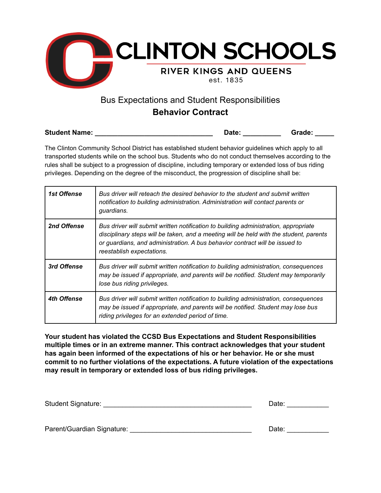

## Bus Expectations and Student Responsibilities **Behavior Contract**

| <b>Student Name:</b> | Date: | Grade: |
|----------------------|-------|--------|
|----------------------|-------|--------|

The Clinton Community School District has established student behavior guidelines which apply to all transported students while on the school bus. Students who do not conduct themselves according to the rules shall be subject to a progression of discipline, including temporary or extended loss of bus riding privileges. Depending on the degree of the misconduct, the progression of discipline shall be:

| <i><b>1st Offense</b></i> | Bus driver will reteach the desired behavior to the student and submit written<br>notification to building administration. Administration will contact parents or<br>guardians.                                                                                                           |
|---------------------------|-------------------------------------------------------------------------------------------------------------------------------------------------------------------------------------------------------------------------------------------------------------------------------------------|
| 2nd Offense               | Bus driver will submit written notification to building administration, appropriate<br>disciplinary steps will be taken, and a meeting will be held with the student, parents<br>or guardians, and administration. A bus behavior contract will be issued to<br>reestablish expectations. |
| 3rd Offense               | Bus driver will submit written notification to building administration, consequences<br>may be issued if appropriate, and parents will be notified. Student may temporarily<br>lose bus riding privileges.                                                                                |
| 4th Offense               | Bus driver will submit written notification to building administration, consequences<br>may be issued if appropriate, and parents will be notified. Student may lose bus<br>riding privileges for an extended period of time.                                                             |

**Your student has violated the CCSD Bus Expectations and Student Responsibilities multiple times or in an extreme manner. This contract acknowledges that your student has again been informed of the expectations of his or her behavior. He or she must commit to no further violations of the expectations. A future violation of the expectations may result in temporary or extended loss of bus riding privileges.**

| <b>Student Signature:</b>  | Date: |
|----------------------------|-------|
|                            |       |
|                            |       |
| Parent/Guardian Signature: | Date: |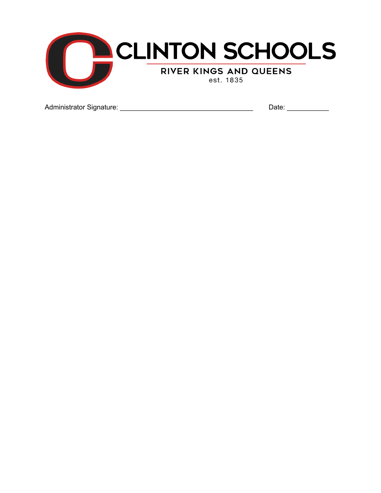

Administrator Signature: \_\_\_\_\_\_\_\_\_\_\_\_\_\_\_\_\_\_\_\_\_\_\_\_\_\_\_\_\_\_\_\_\_\_\_ Date: \_\_\_\_\_\_\_\_\_\_\_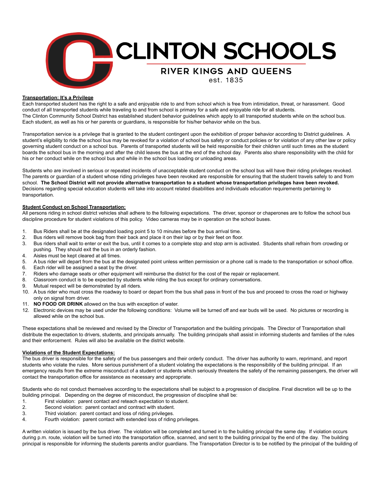

## **Transportation: It's a Privilege**

Each transported student has the right to a safe and enjoyable ride to and from school which is free from intimidation, threat, or harassment. Good conduct of all transported students while traveling to and from school is primary for a safe and enjoyable ride for all students. The Clinton Community School District has established student behavior guidelines which apply to all transported students while on the school bus. Each student, as well as his or her parents or guardians, is responsible for his/her behavior while on the bus.

Transportation service is a privilege that is granted to the student contingent upon the exhibition of proper behavior according to District guidelines. A student's eligibility to ride the school bus may be revoked for a violation of school bus safety or conduct policies or for violation of any other law or policy governing student conduct on a school bus. Parents of transported students will be held responsible for their children until such times as the student boards the school bus in the morning and after the child leaves the bus at the end of the school day. Parents also share responsibility with the child for his or her conduct while on the school bus and while in the school bus loading or unloading areas.

Students who are involved in serious or repeated incidents of unacceptable student conduct on the school bus will have their riding privileges revoked. The parents or guardian of a student whose riding privileges have been revoked are responsible for ensuring that the student travels safely to and from school. The School District will not provide alternative transportation to a student whose transportation privileges have been revoked. Decisions regarding special education students will take into account related disabilities and individuals education requirements pertaining to transportation.

## **Student Conduct on School Transportation:**

All persons riding in school district vehicles shall adhere to the following expectations. The driver, sponsor or chaperones are to follow the school bus discipline procedure for student violations of this policy. Video cameras may be in operation on the school buses.

- 1. Bus Riders shall be at the designated loading point 5 to 10 minutes before the bus arrival time.
- 2. Bus riders will remove book bag from their back and place it on their lap or by their feet on floor.
- 3. Bus riders shall wait to enter or exit the bus, until it comes to a complete stop and stop arm is activated. Students shall refrain from crowding or pushing. They should exit the bus in an orderly fashion.
- 4. Aisles must be kept cleared at all times.
- 5. A bus rider will depart from the bus at the designated point unless written permission or a phone call is made to the transportation or school office.
- 6. Each rider will be assigned a seat by the driver.
- 7. Riders who damage seats or other equipment will reimburse the district for the cost of the repair or replacement.
- 8. Classroom conduct is to be expected by students while riding the bus except for ordinary conversations.
- 9. Mutual respect will be demonstrated by all riders.
- 10. A bus rider who must cross the roadway to board or depart from the bus shall pass in front of the bus and proceed to cross the road or highway only on signal from driver.
- 11. **NO FOOD OR DRINK** allowed on the bus with exception of water.
- 12. Electronic devices may be used under the following conditions: Volume will be turned off and ear buds will be used. No pictures or recording is allowed while on the school bus.

These expectations shall be reviewed and revised by the Director of Transportation and the building principals. The Director of Transportation shall distribute the expectation to drivers, students, and principals annually. The building principals shall assist in informing students and families of the rules and their enforcement. Rules will also be available on the district website.

## **Violations of the Student Expectations:**

The bus driver is responsible for the safety of the bus passengers and their orderly conduct. The driver has authority to warn, reprimand, and report students who violate the rules. More serious punishment of a student violating the expectations is the responsibility of the building principal. If an emergency results from the extreme misconduct of a student or students which seriously threatens the safety of the remaining passengers, the driver will contact the transportation office for assistance as necessary and appropriate.

Students who do not conduct themselves according to the expectations shall be subject to a progression of discipline. Final discretion will be up to the building principal. Depending on the degree of misconduct, the progression of discipline shall be:

- 1. First violation: parent contact and reteach expectation to student.
- 2. Second violation: parent contact and contract with student.
- 3. Third violation: parent contact and loss of riding privileges.
- 4. Fourth violation: parent contact with extended loss of riding privileges.

A written violation is issued by the bus driver. The violation will be completed and turned in to the building principal the same day. If violation occurs during p.m. route, violation will be turned into the transportation office, scanned, and sent to the building principal by the end of the day. The building principal is responsible for informing the students parents and/or guardians. The Transportation Director is to be notified by the principal of the building of